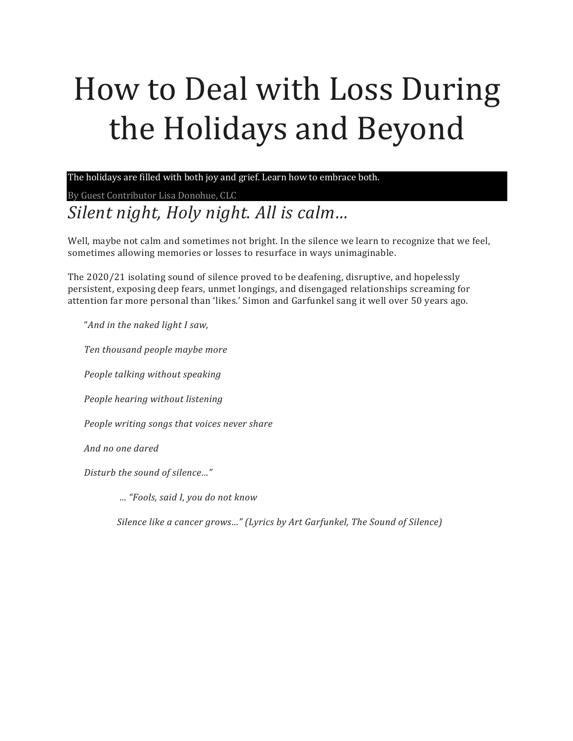# How to Deal with Loss During the Holidays and Beyond

The holidays are filled with both joy and grief. Learn how to embrace both.

By Guest Contributor Lisa Donohue, CLC Silent night, Holy night. All is calm...

Well, maybe not calm and sometimes not bright. In the silence we learn to recognize that we feel, sometimes allowing memories or losses to resurface in ways unimaginable.

The 2020/21 isolating sound of silence proved to be deafening, disruptive, and hopelessly persistent, exposing deep fears, unmet longings, and disengaged relationships screaming for attention far more personal than 'likes.' Simon and Garfunkel sang it well over 50 years ago.

"And in the naked light I saw,

*Ten thousand people maybe more*

*People talking without speaking*

*People hearing without listening*

*People writing songs that voices never share* 

*And no one dared*

*Disturb the sound of silence…"*

 *… "Fools, said I, you do not know*

*Silence like a cancer grows..."* (Lyrics by Art Garfunkel, The Sound of Silence)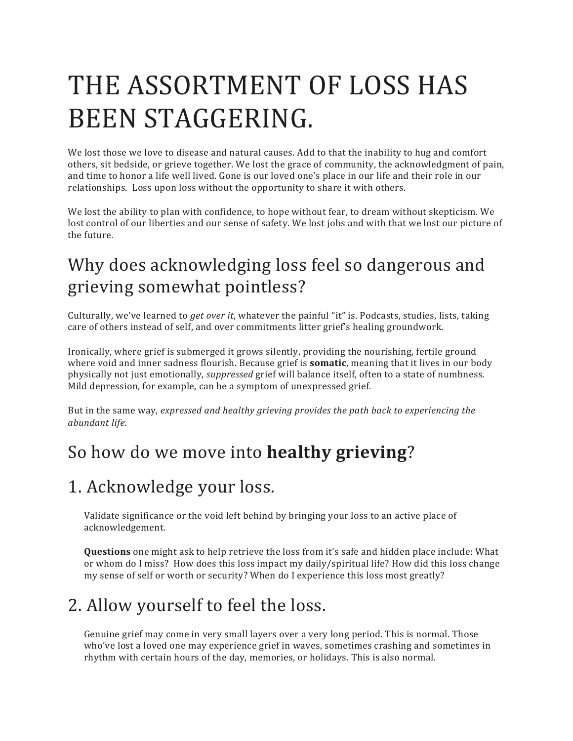# THE ASSORTMENT OF LOSS HAS BEEN STAGGERING.

We lost those we love to disease and natural causes. Add to that the inability to hug and comfort others, sit bedside, or grieve together. We lost the grace of community, the acknowledgment of pain, and time to honor a life well lived. Gone is our loved one's place in our life and their role in our relationships. Loss upon loss without the opportunity to share it with others.

We lost the ability to plan with confidence, to hope without fear, to dream without skepticism. We lost control of our liberties and our sense of safety. We lost jobs and with that we lost our picture of the future.

# Why does acknowledging loss feel so dangerous and grieving somewhat pointless?

Culturally, we've learned to *get over it*, whatever the painful "it" is. Podcasts, studies, lists, taking care of others instead of self, and over commitments litter grief's healing groundwork.

Ironically, where grief is submerged it grows silently, providing the nourishing, fertile ground where void and inner sadness flourish. Because grief is **somatic**, meaning that it lives in our body physically not just emotionally, *suppressed* grief will balance itself, often to a state of numbness. Mild depression, for example, can be a symptom of unexpressed grief.

But in the same way, expressed and healthy grieving provides the path back to experiencing the *abundant life.* 

## So how do we move into **healthy grieving**?

#### 1. Acknowledge your loss.

Validate significance or the void left behind by bringing your loss to an active place of acknowledgement. 

**Questions** one might ask to help retrieve the loss from it's safe and hidden place include: What or whom do I miss? How does this loss impact my daily/spiritual life? How did this loss change my sense of self or worth or security? When do I experience this loss most greatly?

# 2. Allow yourself to feel the loss.

Genuine grief may come in very small layers over a very long period. This is normal. Those who've lost a loved one may experience grief in waves, sometimes crashing and sometimes in rhythm with certain hours of the day, memories, or holidays. This is also normal.